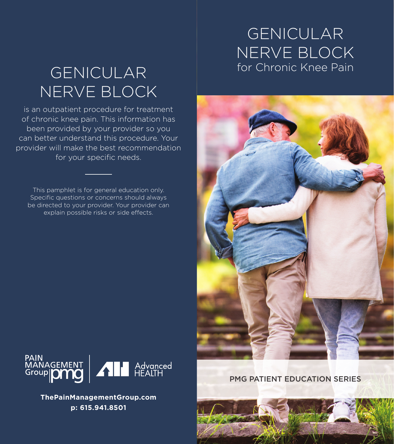### GENICULAR NERVE BLOCK for Chronic Knee Pain

# GENICULAR NERVE BLOCK

is an outpatient procedure for treatment of chronic knee pain. This information has been provided by your provider so you can better understand this procedure. Your provider will make the best recommendation for your specific needs.

This pamphlet is for general education only. Specific questions or concerns should always be directed to your provider. Your provider can explain possible risks or side effects.





**ThePainManagementGroup.com p: 615.941.8501**

PMG PATIENT EDUCATION SERIES